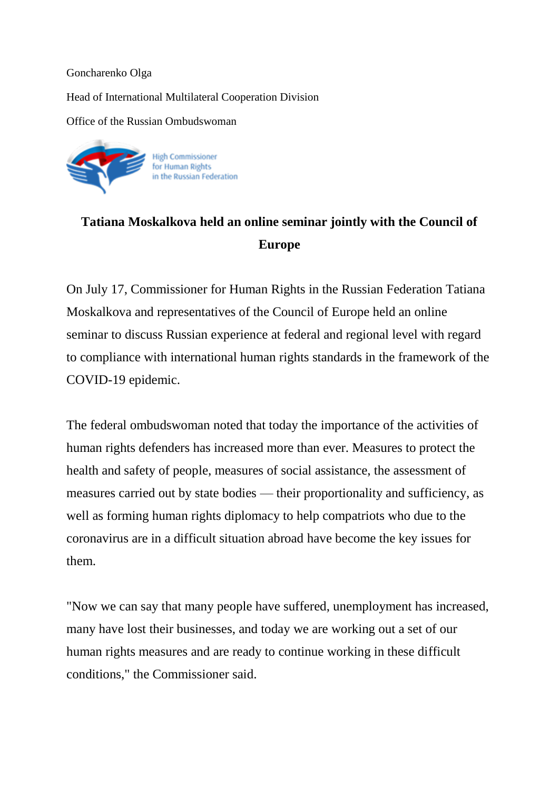## Goncharenko Olga

## Head of International Multilateral Cooperation Division

Office of the Russian Ombudswoman



## **Tatiana Moskalkova held an online seminar jointly with the Council of Europe**

On July 17, Commissioner for Human Rights in the Russian Federation Tatiana Moskalkova and representatives of the Council of Europe held an online seminar to discuss Russian experience at federal and regional level with regard to compliance with international human rights standards in the framework of the COVID-19 epidemic.

The federal ombudswoman noted that today the importance of the activities of human rights defenders has increased more than ever. Measures to protect the health and safety of people, measures of social assistance, the assessment of measures carried out by state bodies — their proportionality and sufficiency, as well as forming human rights diplomacy to help compatriots who due to the coronavirus are in a difficult situation abroad have become the key issues for them.

"Now we can say that many people have suffered, unemployment has increased, many have lost their businesses, and today we are working out a set of our human rights measures and are ready to continue working in these difficult conditions," the Commissioner said.